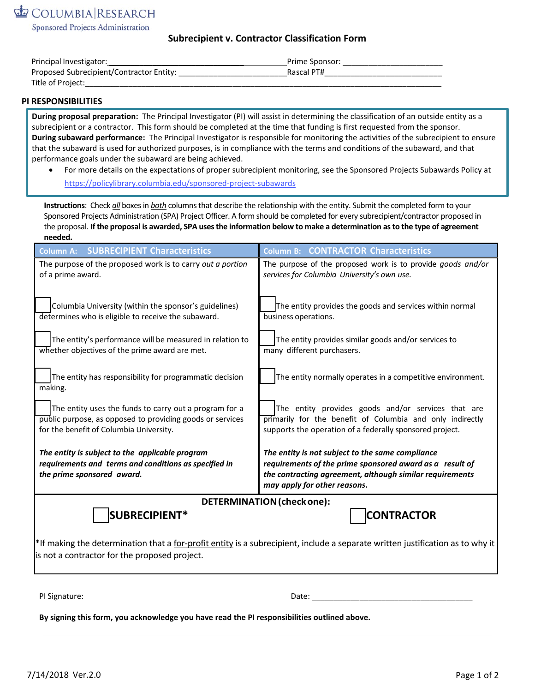Sponsored Projects Administration

# **Subrecipient v. Contractor Classification Form**

| Principal Investigator:                  | Prime Sponsor: |
|------------------------------------------|----------------|
| Proposed Subrecipient/Contractor Entity: | Rascal PT#     |
| Title of Project:                        |                |

### **PI RESPONSIBILITIES**

**During proposal preparation:** The Principal Investigator (PI) will assist in determining the classification of an outside entity as a subrecipient or a contractor. This form should be completed at the time that funding is first requested from the sponsor. **During subaward performance:** The Principal Investigator is responsible for monitoring the activities of the subrecipient to ensure that the subaward is used for authorized purposes, is in compliance with the terms and conditions of the subaward, and that performance goals under the subaward are being achieved.

• For more details on [the expectations of proper subrecipient mon](https://policylibrary.columbia.edu/sponsored-project-subawards)itoring, see the Sponsored Projects Subawards Policy at https://policylibrary.columbia.edu/sponsored-project-subawards

**Instructions**: Check *all* boxes in *both* columns that describe the relationship with the entity. Submit the completed form to your Sponsored Projects Administration (SPA) Project Officer. A form should be completed for every subrecipient/contractor proposed in the proposal. **If the proposal is awarded, SPA usesthe information below to make a determination as to the type of agreement needed.**

| <b>Column A: SUBRECIPIENT Characteristics</b>                                                                                                                                   | Column B: CONTRACTOR Characteristics                                                                                                                                                                     |  |
|---------------------------------------------------------------------------------------------------------------------------------------------------------------------------------|----------------------------------------------------------------------------------------------------------------------------------------------------------------------------------------------------------|--|
| The purpose of the proposed work is to carry out a portion<br>of a prime award.                                                                                                 | The purpose of the proposed work is to provide goods and/or<br>services for Columbia University's own use.                                                                                               |  |
| Columbia University (within the sponsor's guidelines)<br>determines who is eligible to receive the subaward.                                                                    | The entity provides the goods and services within normal<br>business operations.                                                                                                                         |  |
| The entity's performance will be measured in relation to<br>whether objectives of the prime award are met.                                                                      | The entity provides similar goods and/or services to<br>many different purchasers.                                                                                                                       |  |
| The entity has responsibility for programmatic decision<br>making.                                                                                                              | The entity normally operates in a competitive environment.                                                                                                                                               |  |
| The entity uses the funds to carry out a program for a<br>public purpose, as opposed to providing goods or services<br>for the benefit of Columbia University.                  | The entity provides goods and/or services that are<br>primarily for the benefit of Columbia and only indirectly<br>supports the operation of a federally sponsored project.                              |  |
| The entity is subject to the applicable program<br>requirements and terms and conditions as specified in<br>the prime sponsored award.                                          | The entity is not subject to the same compliance<br>requirements of the prime sponsored award as a result of<br>the contracting agreement, although similar requirements<br>may apply for other reasons. |  |
| <b>DETERMINATION (check one):</b>                                                                                                                                               |                                                                                                                                                                                                          |  |
| SUBRECIPIENT*                                                                                                                                                                   | <b>CONTRACTOR</b>                                                                                                                                                                                        |  |
| *If making the determination that a for-profit entity is a subrecipient, include a separate written justification as to why it<br>is not a contractor for the proposed project. |                                                                                                                                                                                                          |  |
| PI Signature:                                                                                                                                                                   | Date:                                                                                                                                                                                                    |  |

**By signing this form, you acknowledge you have read the PI responsibilities outlined above.**